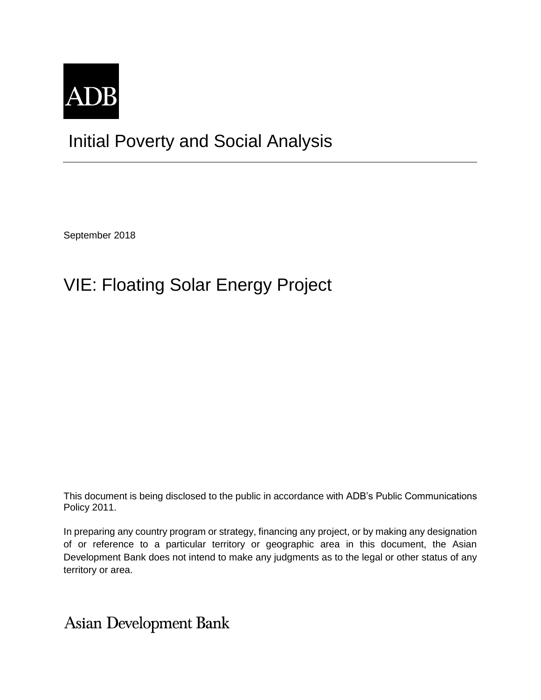

## Initial Poverty and Social Analysis

September 2018

## VIE: Floating Solar Energy Project

This document is being disclosed to the public in accordance with ADB's Public Communications Policy 2011.

In preparing any country program or strategy, financing any project, or by making any designation of or reference to a particular territory or geographic area in this document, the Asian Development Bank does not intend to make any judgments as to the legal or other status of any territory or area.

**Asian Development Bank**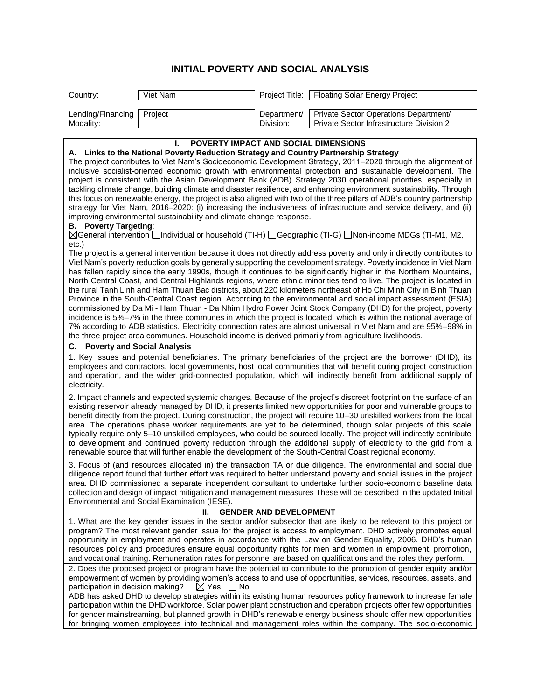## **INITIAL POVERTY AND SOCIAL ANALYSIS**

| Country:                                 | Viet Nam |           | Project Title:   Floating Solar Energy Project                                                  |
|------------------------------------------|----------|-----------|-------------------------------------------------------------------------------------------------|
|                                          |          |           |                                                                                                 |
| Lending/Financing   Project<br>Modality: |          | Division: | Department/   Private Sector Operations Department/<br>Private Sector Infrastructure Division 2 |

| POVERTY IMPACT AND SOCIAL DIMENSIONS<br>ı.                                                                                                                                                                                               |
|------------------------------------------------------------------------------------------------------------------------------------------------------------------------------------------------------------------------------------------|
| Links to the National Poverty Reduction Strategy and Country Partnership Strategy<br>Α.                                                                                                                                                  |
| The project contributes to Viet Nam's Socioeconomic Development Strategy, 2011-2020 through the alignment of<br>inclusive socialist-oriented economic growth with environmental protection and sustainable development. The              |
|                                                                                                                                                                                                                                          |
| project is consistent with the Asian Development Bank (ADB) Strategy 2030 operational priorities, especially in                                                                                                                          |
| tackling climate change, building climate and disaster resilience, and enhancing environment sustainability. Through                                                                                                                     |
| this focus on renewable energy, the project is also aligned with two of the three pillars of ADB's country partnership                                                                                                                   |
| strategy for Viet Nam, 2016-2020: (i) increasing the inclusiveness of infrastructure and service delivery, and (ii)                                                                                                                      |
| improving environmental sustainability and climate change response.                                                                                                                                                                      |
| <b>B.</b> Poverty Targeting:                                                                                                                                                                                                             |
| ⊠General intervention <b>Dindividual or household (TI-H)</b> DGeographic (TI-G) DNon-income MDGs (TI-M1, M2,<br>etc.)                                                                                                                    |
| The project is a general intervention because it does not directly address poverty and only indirectly contributes to                                                                                                                    |
| Viet Nam's poverty reduction goals by generally supporting the development strategy. Poverty incidence in Viet Nam                                                                                                                       |
| has fallen rapidly since the early 1990s, though it continues to be significantly higher in the Northern Mountains,                                                                                                                      |
| North Central Coast, and Central Highlands regions, where ethnic minorities tend to live. The project is located in                                                                                                                      |
| the rural Tanh Linh and Ham Thuan Bac districts, about 220 kilometers northeast of Ho Chi Minh City in Binh Thuan                                                                                                                        |
| Province in the South-Central Coast region. According to the environmental and social impact assessment (ESIA)                                                                                                                           |
| commissioned by Da Mi - Ham Thuan - Da Nhim Hydro Power Joint Stock Company (DHD) for the project, poverty                                                                                                                               |
| incidence is 5%-7% in the three communes in which the project is located, which is within the national average of                                                                                                                        |
| 7% according to ADB statistics. Electricity connection rates are almost universal in Viet Nam and are 95%-98% in                                                                                                                         |
| the three project area communes. Household income is derived primarily from agriculture livelihoods.                                                                                                                                     |
| <b>Poverty and Social Analysis</b><br>С.                                                                                                                                                                                                 |
| 1. Key issues and potential beneficiaries. The primary beneficiaries of the project are the borrower (DHD), its                                                                                                                          |
| employees and contractors, local governments, host local communities that will benefit during project construction                                                                                                                       |
| and operation, and the wider grid-connected population, which will indirectly benefit from additional supply of                                                                                                                          |
| electricity.                                                                                                                                                                                                                             |
|                                                                                                                                                                                                                                          |
| 2. Impact channels and expected systemic changes. Because of the project's discreet footprint on the surface of an<br>existing reservoir already managed by DHD, it presents limited new opportunities for poor and vulnerable groups to |
|                                                                                                                                                                                                                                          |
| benefit directly from the project. During construction, the project will require 10-30 unskilled workers from the local<br>area. The operations phase worker requirements are yet to be determined, though solar projects of this scale  |
|                                                                                                                                                                                                                                          |
| typically require only 5-10 unskilled employees, who could be sourced locally. The project will indirectly contribute                                                                                                                    |
| to development and continued poverty reduction through the additional supply of electricity to the grid from a<br>renewable source that will further enable the development of the South-Central Coast regional economy.                 |
|                                                                                                                                                                                                                                          |
| 3. Focus of (and resources allocated in) the transaction TA or due diligence. The environmental and social due                                                                                                                           |
| diligence report found that further effort was required to better understand poverty and social issues in the project                                                                                                                    |
| area. DHD commissioned a separate independent consultant to undertake further socio-economic baseline data                                                                                                                               |
| collection and design of impact mitigation and management measures These will be described in the updated Initial                                                                                                                        |
| Environmental and Social Examination (IESE).                                                                                                                                                                                             |
| Ш.<br><b>GENDER AND DEVELOPMENT</b>                                                                                                                                                                                                      |
| 1. What are the key gender issues in the sector and/or subsector that are likely to be relevant to this project or                                                                                                                       |
| program? The most relevant gender issue for the project is access to employment. DHD actively promotes equal                                                                                                                             |
| opportunity in employment and operates in accordance with the Law on Gender Equality, 2006. DHD's human                                                                                                                                  |
| resources policy and procedures ensure equal opportunity rights for men and women in employment, promotion,                                                                                                                              |
| and vocational training. Remuneration rates for personnel are based on qualifications and the roles they perform.                                                                                                                        |
| 2. Does the proposed project or program have the potential to contribute to the promotion of gender equity and/or                                                                                                                        |
| empowerment of women by providing women's access to and use of opportunities, services, resources, assets, and                                                                                                                           |
| participation in decision making?<br>$\boxtimes$ Yes $\Box$ No                                                                                                                                                                           |

ADB has asked DHD to develop strategies within its existing human resources policy framework to increase female participation within the DHD workforce. Solar power plant construction and operation projects offer few opportunities for gender mainstreaming, but planned growth in DHD's renewable energy business should offer new opportunities for bringing women employees into technical and management roles within the company. The socio-economic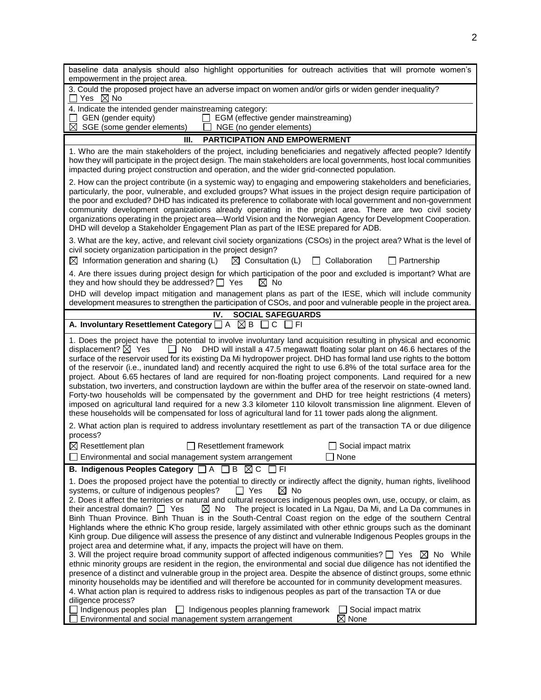| baseline data analysis should also highlight opportunities for outreach activities that will promote women's<br>empowerment in the project area.                                                                                                                                                                                                                                                                                                                                                                                                                                                                                                                                                                                                                                                                                                                                                                                                                                                                                                                                                                                                                                                                                                                                                                                                                                                                                                                                                                                 |
|----------------------------------------------------------------------------------------------------------------------------------------------------------------------------------------------------------------------------------------------------------------------------------------------------------------------------------------------------------------------------------------------------------------------------------------------------------------------------------------------------------------------------------------------------------------------------------------------------------------------------------------------------------------------------------------------------------------------------------------------------------------------------------------------------------------------------------------------------------------------------------------------------------------------------------------------------------------------------------------------------------------------------------------------------------------------------------------------------------------------------------------------------------------------------------------------------------------------------------------------------------------------------------------------------------------------------------------------------------------------------------------------------------------------------------------------------------------------------------------------------------------------------------|
| 3. Could the proposed project have an adverse impact on women and/or girls or widen gender inequality?<br>Yes $\boxtimes$ No                                                                                                                                                                                                                                                                                                                                                                                                                                                                                                                                                                                                                                                                                                                                                                                                                                                                                                                                                                                                                                                                                                                                                                                                                                                                                                                                                                                                     |
| 4. Indicate the intended gender mainstreaming category:<br>GEN (gender equity)<br>EGM (effective gender mainstreaming)<br>$\Box$<br>$\boxtimes$ SGE (some gender elements)<br>NGE (no gender elements)                                                                                                                                                                                                                                                                                                                                                                                                                                                                                                                                                                                                                                                                                                                                                                                                                                                                                                                                                                                                                                                                                                                                                                                                                                                                                                                           |
| <b>PARTICIPATION AND EMPOWERMENT</b><br>Ш.                                                                                                                                                                                                                                                                                                                                                                                                                                                                                                                                                                                                                                                                                                                                                                                                                                                                                                                                                                                                                                                                                                                                                                                                                                                                                                                                                                                                                                                                                       |
| 1. Who are the main stakeholders of the project, including beneficiaries and negatively affected people? Identify<br>how they will participate in the project design. The main stakeholders are local governments, host local communities<br>impacted during project construction and operation, and the wider grid-connected population.                                                                                                                                                                                                                                                                                                                                                                                                                                                                                                                                                                                                                                                                                                                                                                                                                                                                                                                                                                                                                                                                                                                                                                                        |
| 2. How can the project contribute (in a systemic way) to engaging and empowering stakeholders and beneficiaries,<br>particularly, the poor, vulnerable, and excluded groups? What issues in the project design require participation of<br>the poor and excluded? DHD has indicated its preference to collaborate with local government and non-government<br>community development organizations already operating in the project area. There are two civil society<br>organizations operating in the project area—World Vision and the Norwegian Agency for Development Cooperation.<br>DHD will develop a Stakeholder Engagement Plan as part of the IESE prepared for ADB.                                                                                                                                                                                                                                                                                                                                                                                                                                                                                                                                                                                                                                                                                                                                                                                                                                                   |
| 3. What are the key, active, and relevant civil society organizations (CSOs) in the project area? What is the level of<br>civil society organization participation in the project design?<br>$\boxtimes$ Consultation (L)<br>$\boxtimes$ Information generation and sharing (L)<br>$\Box$ Collaboration<br>$\Box$ Partnership                                                                                                                                                                                                                                                                                                                                                                                                                                                                                                                                                                                                                                                                                                                                                                                                                                                                                                                                                                                                                                                                                                                                                                                                    |
| 4. Are there issues during project design for which participation of the poor and excluded is important? What are                                                                                                                                                                                                                                                                                                                                                                                                                                                                                                                                                                                                                                                                                                                                                                                                                                                                                                                                                                                                                                                                                                                                                                                                                                                                                                                                                                                                                |
| they and how should they be addressed? $\Box$ Yes<br>$\boxtimes$ No<br>DHD will develop impact mitigation and management plans as part of the IESE, which will include community                                                                                                                                                                                                                                                                                                                                                                                                                                                                                                                                                                                                                                                                                                                                                                                                                                                                                                                                                                                                                                                                                                                                                                                                                                                                                                                                                 |
| development measures to strengthen the participation of CSOs, and poor and vulnerable people in the project area.                                                                                                                                                                                                                                                                                                                                                                                                                                                                                                                                                                                                                                                                                                                                                                                                                                                                                                                                                                                                                                                                                                                                                                                                                                                                                                                                                                                                                |
| IV.<br><b>SOCIAL SAFEGUARDS</b>                                                                                                                                                                                                                                                                                                                                                                                                                                                                                                                                                                                                                                                                                                                                                                                                                                                                                                                                                                                                                                                                                                                                                                                                                                                                                                                                                                                                                                                                                                  |
| A. Involuntary Resettlement Category $\Box$ A $\boxtimes$ B $\Box$ C $\Box$ FI                                                                                                                                                                                                                                                                                                                                                                                                                                                                                                                                                                                                                                                                                                                                                                                                                                                                                                                                                                                                                                                                                                                                                                                                                                                                                                                                                                                                                                                   |
| 1. Does the project have the potential to involve involuntary land acquisition resulting in physical and economic<br>displacement? $\boxtimes$ Yes<br>$\Box$ No<br>DHD will install a 47.5 megawatt floating solar plant on 46.6 hectares of the<br>surface of the reservoir used for its existing Da Mi hydropower project. DHD has formal land use rights to the bottom<br>of the reservoir (i.e., inundated land) and recently acquired the right to use 6.8% of the total surface area for the<br>project. About 6.65 hectares of land are required for non-floating project components. Land required for a new<br>substation, two inverters, and construction laydown are within the buffer area of the reservoir on state-owned land.<br>Forty-two households will be compensated by the government and DHD for tree height restrictions (4 meters)<br>imposed on agricultural land required for a new 3.3 kilometer 110 kilovolt transmission line alignment. Eleven of<br>these households will be compensated for loss of agricultural land for 11 tower pads along the alignment.                                                                                                                                                                                                                                                                                                                                                                                                                                     |
| 2. What action plan is required to address involuntary resettlement as part of the transaction TA or due diligence<br>process?                                                                                                                                                                                                                                                                                                                                                                                                                                                                                                                                                                                                                                                                                                                                                                                                                                                                                                                                                                                                                                                                                                                                                                                                                                                                                                                                                                                                   |
| $\boxtimes$ Resettlement plan<br>$\Box$ Resettlement framework<br>$\Box$ Social impact matrix<br>Environmental and social management system arrangement<br>$\Box$ None                                                                                                                                                                                                                                                                                                                                                                                                                                                                                                                                                                                                                                                                                                                                                                                                                                                                                                                                                                                                                                                                                                                                                                                                                                                                                                                                                           |
| B. Indigenous Peoples Category □ A □ B ⊠ C □ FI                                                                                                                                                                                                                                                                                                                                                                                                                                                                                                                                                                                                                                                                                                                                                                                                                                                                                                                                                                                                                                                                                                                                                                                                                                                                                                                                                                                                                                                                                  |
| 1. Does the proposed project have the potential to directly or indirectly affect the dignity, human rights, livelihood<br>systems, or culture of indigenous peoples?<br>$\Box$ Yes<br>$\boxtimes$ No<br>2. Does it affect the territories or natural and cultural resources indigenous peoples own, use, occupy, or claim, as<br>$\boxtimes$ No<br>The project is located in La Ngau, Da Mi, and La Da communes in<br>their ancestral domain? $\Box$ Yes<br>Binh Thuan Province. Binh Thuan is in the South-Central Coast region on the edge of the southern Central<br>Highlands where the ethnic K'ho group reside, largely assimilated with other ethnic groups such as the dominant<br>Kinh group. Due diligence will assess the presence of any distinct and vulnerable Indigenous Peoples groups in the<br>project area and determine what, if any, impacts the project will have on them.<br>3. Will the project require broad community support of affected indigenous communities? $\Box$ Yes $\boxtimes$ No While<br>ethnic minority groups are resident in the region, the environmental and social due diligence has not identified the<br>presence of a distinct and vulnerable group in the project area. Despite the absence of distinct groups, some ethnic<br>minority households may be identified and will therefore be accounted for in community development measures.<br>4. What action plan is required to address risks to indigenous peoples as part of the transaction TA or due<br>diligence process? |
| Indigenous peoples plan<br>Indigenous peoples planning framework<br>Social impact matrix<br>Environmental and social management system arrangement<br>$\boxtimes$ None                                                                                                                                                                                                                                                                                                                                                                                                                                                                                                                                                                                                                                                                                                                                                                                                                                                                                                                                                                                                                                                                                                                                                                                                                                                                                                                                                           |